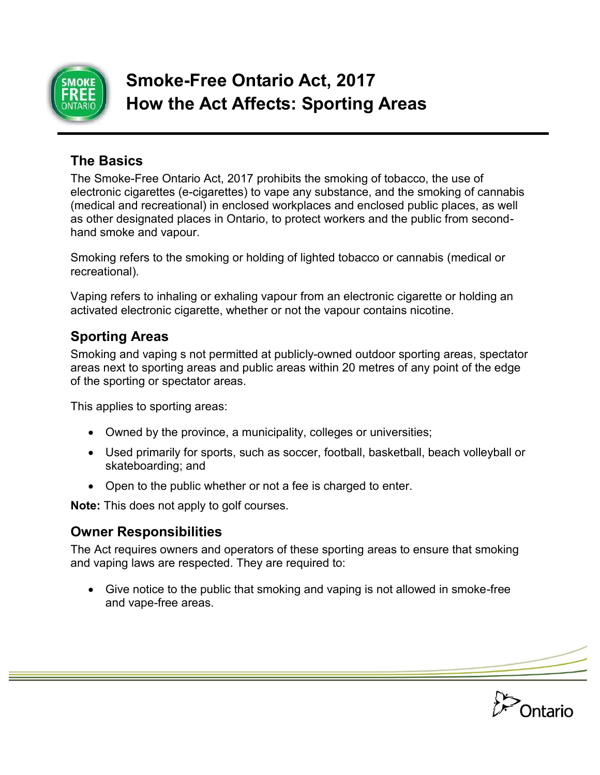

# **Smoke-Free Ontario Act, 2017 How the Act Affects: Sporting Areas**

## **The Basics**

The Smoke-Free Ontario Act, 2017 prohibits the smoking of tobacco, the use of electronic cigarettes (e-cigarettes) to vape any substance, and the smoking of cannabis (medical and recreational) in enclosed workplaces and enclosed public places, as well as other designated places in Ontario, to protect workers and the public from secondhand smoke and vapour.

Smoking refers to the smoking or holding of lighted tobacco or cannabis (medical or recreational).

Vaping refers to inhaling or exhaling vapour from an electronic cigarette or holding an activated electronic cigarette, whether or not the vapour contains nicotine.

#### **Sporting Areas**

Smoking and vaping s not permitted at publicly-owned outdoor sporting areas, spectator areas next to sporting areas and public areas within 20 metres of any point of the edge of the sporting or spectator areas.

This applies to sporting areas:

- Owned by the province, a municipality, colleges or universities;
- Used primarily for sports, such as soccer, football, basketball, beach volleyball or skateboarding; and
- Open to the public whether or not a fee is charged to enter.

**Note:** This does not apply to golf courses.

### **Owner Responsibilities**

The Act requires owners and operators of these sporting areas to ensure that smoking and vaping laws are respected. They are required to:

 Give notice to the public that smoking and vaping is not allowed in smoke-free and vape-free areas.

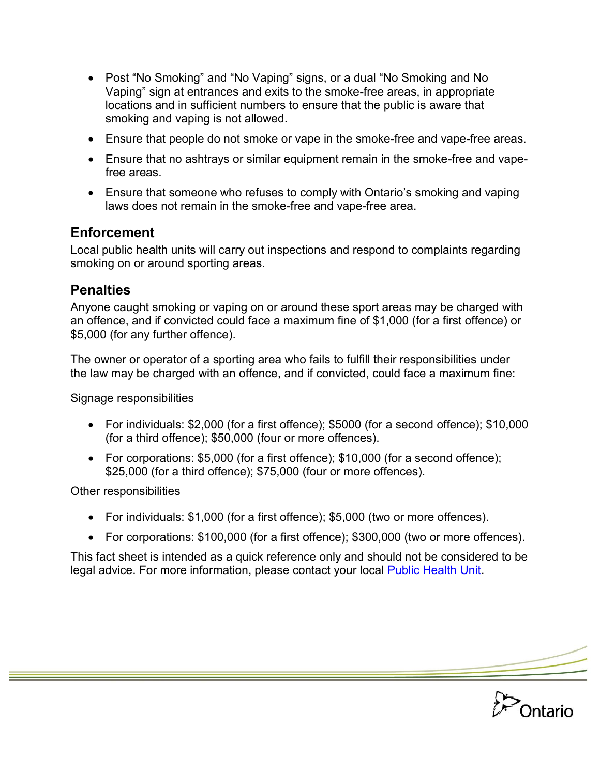- Post "No Smoking" and "No Vaping" signs, or a dual "No Smoking and No Vaping" sign at entrances and exits to the smoke-free areas, in appropriate locations and in sufficient numbers to ensure that the public is aware that smoking and vaping is not allowed.
- Ensure that people do not smoke or vape in the smoke-free and vape-free areas.
- Ensure that no ashtrays or similar equipment remain in the smoke-free and vapefree areas.
- Ensure that someone who refuses to comply with Ontario's smoking and vaping laws does not remain in the smoke-free and vape-free area.

## **Enforcement**

Local public health units will carry out inspections and respond to complaints regarding smoking on or around sporting areas.

### **Penalties**

Anyone caught smoking or vaping on or around these sport areas may be charged with an offence, and if convicted could face a maximum fine of \$1,000 (for a first offence) or \$5,000 (for any further offence).

The owner or operator of a sporting area who fails to fulfill their responsibilities under the law may be charged with an offence, and if convicted, could face a maximum fine:

Signage responsibilities

- For individuals: \$2,000 (for a first offence); \$5000 (for a second offence); \$10,000 (for a third offence); \$50,000 (four or more offences).
- For corporations: \$5,000 (for a first offence); \$10,000 (for a second offence); \$25,000 (for a third offence); \$75,000 (four or more offences).

Other responsibilities

- For individuals: \$1,000 (for a first offence); \$5,000 (two or more offences).
- For corporations: \$100,000 (for a first offence); \$300,000 (two or more offences).

This fact sheet is intended as a quick reference only and should not be considered to be legal advice. For more information, please contact your local [Public Health Unit.](http://www.health.gov.on.ca/en/common/system/services/phu/locations.aspx)